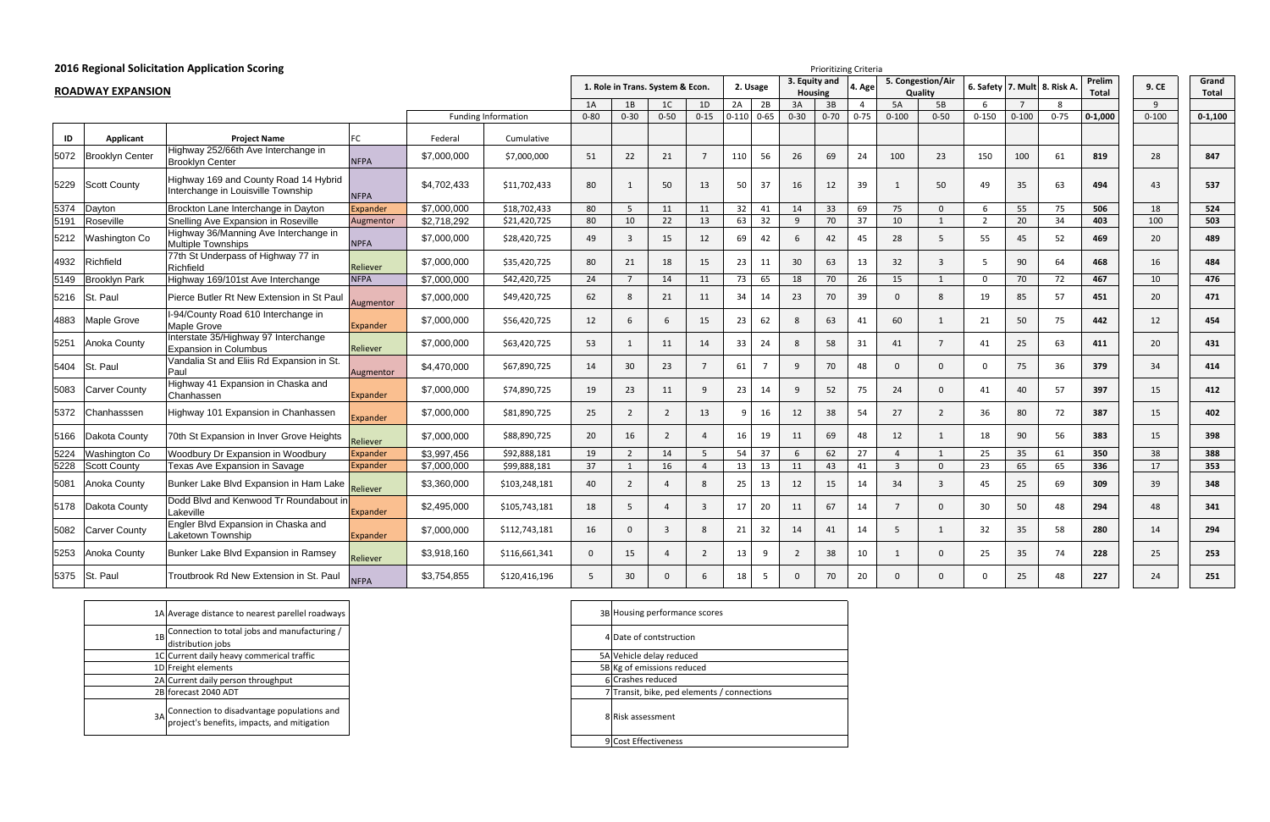## **2016 Regional Solicitation Application Scoring**

|      |                          | 2016 Regional Solicitation Application Scoring                              |                 |             |                            | <b>Prioritizing Criteria</b> |                                  |                |                |                |                |                                 |          |                |                   |                |                              |                |          |                 |              |                |
|------|--------------------------|-----------------------------------------------------------------------------|-----------------|-------------|----------------------------|------------------------------|----------------------------------|----------------|----------------|----------------|----------------|---------------------------------|----------|----------------|-------------------|----------------|------------------------------|----------------|----------|-----------------|--------------|----------------|
|      | <b>ROADWAY EXPANSION</b> |                                                                             |                 |             |                            |                              | 1. Role in Trans. System & Econ. |                |                | 2. Usage       |                | 3. Equity and<br><b>Housing</b> |          | 4. Age         | 5. Congestion/Air | Quality        | 6. Safety 7. Mult 8. Risk A. |                |          | Prelim<br>Total | 9. CE        | Grand<br>Total |
|      |                          |                                                                             |                 |             |                            | 1A                           | 1B                               | 1C             | 1D             | 2A             | 2B             | 3A                              | 3B       | $\overline{4}$ | 5A                | 5B             | 6                            | $\overline{7}$ | 8        |                 | $\mathsf{q}$ |                |
|      |                          |                                                                             |                 |             | <b>Funding Information</b> | $0 - 80$                     | $0 - 30$                         | $0 - 50$       | $0-15$         | $0-110$ $0-65$ |                | $0 - 30$                        | $0 - 70$ | $0 - 75$       | $0 - 100$         | $0 - 50$       | $0 - 150$                    | $0 - 100$      | $0 - 75$ | $0 - 1,000$     | $0 - 100$    | $0 - 1,100$    |
| ID   | Applicant                | <b>Project Name</b>                                                         | FC              | Federal     | Cumulative                 |                              |                                  |                |                |                |                |                                 |          |                |                   |                |                              |                |          |                 |              |                |
| 5072 | <b>Brooklyn Center</b>   | Highway 252/66th Ave Interchange in<br><b>Brooklyn Center</b>               | <b>NFPA</b>     | \$7,000,000 | \$7,000,000                | 51                           | 22                               | 21             | $\overline{7}$ | 110            | 56             | 26                              | 69       | 24             | 100               | 23             | 150                          | 100            | 61       | 819             | 28           | 847            |
| 5229 | Scott County             | Highway 169 and County Road 14 Hybrid<br>Interchange in Louisville Township | <b>NFPA</b>     | \$4,702,433 | \$11,702,433               | 80                           | 1                                | 50             | 13             | 50             | 37             | 16                              | 12       | 39             | 1                 | 50             | 49                           | 35             | 63       | 494             | 43           | 537            |
| 5374 | Dayton                   | Brockton Lane Interchange in Dayton                                         | Expander        | \$7,000,000 | \$18,702,433               | 80                           | 5                                | 11             | 11             | 32             | 41             | 14                              | 33       | 69             | 75                | $\mathbf{0}$   | 6                            | 55             | 75       | 506             | 18           | 524            |
| 5191 | Roseville                | Snelling Ave Expansion in Roseville                                         | Augmentor       | \$2,718,292 | \$21,420,725               | 80                           | 10                               | 22             | 13             | 63             | 32             | 9                               | 70       | 37             | 10                | $\mathbf{1}$   | $\overline{2}$               | 20             | 34       | 403             | 100          | 503            |
| 5212 | Washington Co            | Highway 36/Manning Ave Interchange in<br><b>Multiple Townships</b>          | <b>NPFA</b>     | \$7,000,000 | \$28,420,725               | 49                           | 3                                | 15             | 12             | 69             | 42             | 6                               | 42       | 45             | 28                | $5^{\circ}$    | 55                           | 45             | 52       | 469             | 20           | 489            |
| 4932 | Richfield                | 77th St Underpass of Highway 77 in<br>Richfield                             | Reliever        | \$7,000,000 | \$35,420,725               | 80                           | 21                               | 18             | 15             | 23             | 11             | 30 <sup>°</sup>                 | 63       | 13             | 32                | $\overline{3}$ | 5                            | 90             | 64       | 468             | 16           | 484            |
| 5149 | <b>Brooklyn Park</b>     | Highway 169/101st Ave Interchange                                           | <b>NFPA</b>     | \$7,000,000 | \$42,420,725               | 24                           | $\overline{7}$                   | 14             | 11             | 73             | 65             | 18                              | 70       | 26             | 15                | $\mathbf{1}$   | $\Omega$                     | 70             | 72       | 467             | 10           | 476            |
| 5216 | lSt. Paul                | Pierce Butler Rt New Extension in St Paul                                   | Augmentor       | \$7,000,000 | \$49,420,725               | 62                           | 8                                | 21             | 11             | 34             | 14             | 23                              | 70       | 39             | $\Omega$          | 8              | 19                           | 85             | 57       | 451             | 20           | 471            |
| 4883 | Maple Grove              | I-94/County Road 610 Interchange in<br>Maple Grove                          | Expander        | \$7,000,000 | \$56,420,725               | 12                           | -6                               | 6              | 15             | 23             | 62             | 8                               | 63       | 41             | 60                | 1              | 21                           | 50             | 75       | 442             | 12           | 454            |
| 5251 | Anoka County             | Interstate 35/Highway 97 Interchange<br><b>Expansion in Columbus</b>        | Reliever        | \$7,000,000 | \$63,420,725               | 53                           | $\mathbf{1}$                     | 11             | 14             | 33             | 24             | 8                               | 58       | 31             | 41                | $7^{\circ}$    | 41                           | 25             | 63       | 411             | 20           | 431            |
| 5404 | St. Paul                 | Vandalia St and Eliis Rd Expansion in St.<br>Paul                           | Augmentor       | \$4,470,000 | \$67,890,725               | 14                           | 30                               | 23             | $7^{\circ}$    | 61             | $\overline{7}$ | 9                               | 70       | 48             | $\Omega$          | $\mathbf{0}$   | $\mathbf{0}$                 | 75             | 36       | 379             | 34           | 414            |
| 5083 | Carver County            | Highway 41 Expansion in Chaska and<br>Chanhassen                            | Expander        | \$7,000,000 | \$74,890,725               | 19                           | 23                               | 11             | 9              | 23             | 14             | 9                               | 52       | 75             | 24                | $\mathbf 0$    | 41                           | 40             | 57       | 397             | 15           | 412            |
| 5372 | Chanhasssen              | Highway 101 Expansion in Chanhassen                                         | <b>Expander</b> | \$7,000,000 | \$81,890,725               | 25                           | 2                                | $\overline{2}$ | 13             |                | 16             | 12                              | 38       | 54             | 27                | $\overline{2}$ | 36                           | 80             | 72       | 387             | 15           | 402            |
| 5166 | Dakota County            | 70th St Expansion in Inver Grove Heights                                    | Reliever        | \$7,000,000 | \$88,890,725               | 20                           | 16                               | $\overline{2}$ | $\overline{4}$ | 16             | 19             | 11                              | 69       | 48             | 12                | 1              | 18                           | 90             | 56       | 383             | 15           | 398            |
| 5224 | Washington Co            | Woodbury Dr Expansion in Woodbury                                           | Expander        | \$3,997,456 | \$92,888,181               | 19                           | $\overline{2}$                   | 14             | $5\phantom{.}$ | 54             | 37             | 6                               | 62       | 27             | $\overline{4}$    | 1              | 25                           | 35             | 61       | 350             | 38           | 388            |
| 5228 | <b>Scott County</b>      | Texas Ave Expansion in Savage                                               | Expander        | \$7,000,000 | \$99,888,181               | 37                           | 1                                | 16             | $\overline{4}$ | 13             | 13             | 11                              | 43       | 41             | $\overline{3}$    | $\overline{0}$ | 23                           | 65             | 65       | 336             | 17           | 353            |
| 5081 | Anoka County             | Bunker Lake Blvd Expansion in Ham Lake                                      | Reliever        | \$3,360,000 | \$103,248,181              | 40                           | $\overline{2}$                   |                | 8              | 25             | 13             | 12                              | 15       | 14             | 34                | $\overline{3}$ | 45                           | 25             | 69       | 309             | 39           | 348            |
| 5178 | Dakota County            | Dodd Blvd and Kenwood Tr Roundabout in<br>Lakeville                         | Expander        | \$2,495,000 | \$105,743,181              | 18                           | -5                               |                | $\overline{3}$ | 17             | 20             | 11                              | 67       | 14             | -7                | $\Omega$       | 30                           | 50             | 48       | 294             | 48           | 341            |
| 5082 | Carver County            | Engler Blvd Expansion in Chaska and<br>Laketown Township                    | Expander        | \$7,000,000 | \$112,743,181              | 16                           | $\Omega$                         | $\overline{3}$ | 8              | 21             | 32             | 14                              | 41       | 14             | 5                 | $\mathbf{1}$   | 32                           | 35             | 58       | 280             | 14           | 294            |
| 5253 | Anoka County             | Bunker Lake Blvd Expansion in Ramsey                                        | Reliever        | \$3,918,160 | \$116,661,341              | $\mathbf{0}$                 | 15                               |                | $\overline{2}$ | 13             | 9              | $\overline{2}$                  | 38       | $10\,$         | -1                | $\mathbf{0}$   | 25                           | 35             | 74       | 228             | 25           | 253            |
| 5375 | St. Paul                 | Troutbrook Rd New Extension in St. Paul                                     | <b>NFPA</b>     | \$3,754,855 | \$120,416,196              | 5                            | 30                               | $\Omega$       | 6              | 18             | $5^{\circ}$    | $\Omega$                        | 70       | 20             | $\Omega$          | $\Omega$       | $\Omega$                     | 25             | 48       | 227             | 24           | 251            |

|    | 1A Average distance to nearest parellel roadways                                             | 3B |
|----|----------------------------------------------------------------------------------------------|----|
| 1B | Connection to total jobs and manufacturing /<br>distribution jobs                            | 4  |
|    | 1C Current daily heavy commerical traffic                                                    | 5A |
|    | 1D Freight elements                                                                          | 5B |
|    | 2A Current daily person throughput                                                           | 6  |
|    | 2B forecast 2040 ADT                                                                         |    |
|    | 3A Connection to disadvantage populations and<br>project's benefits, impacts, and mitigation | 8  |

| 3B Housing performance scores               |
|---------------------------------------------|
| 4 Date of contstruction                     |
| 5A Vehicle delay reduced                    |
| 5B Kg of emissions reduced                  |
| 6 Crashes reduced                           |
| 7 Transit, bike, ped elements / connections |
| 8 Risk assessment                           |
| 9 Cost Effectiveness                        |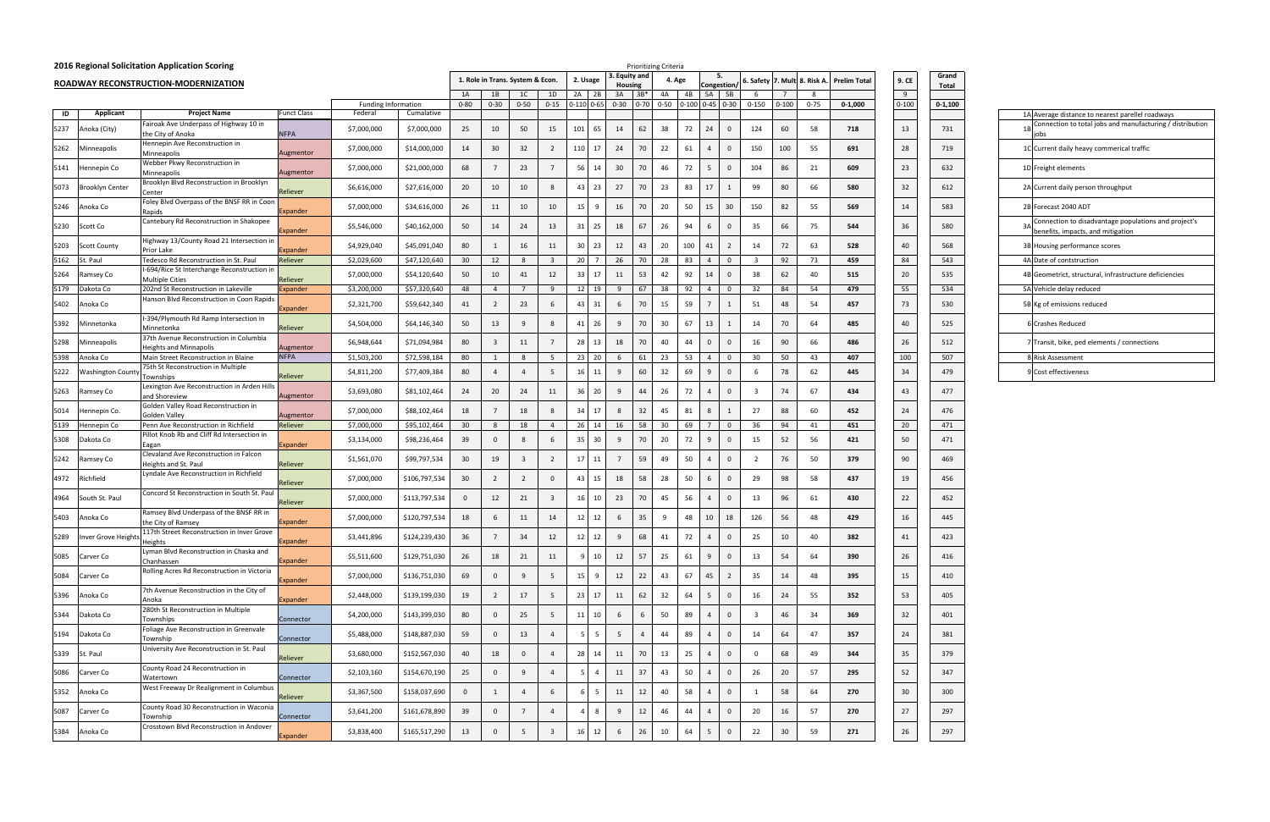|      |                     | 2016 Regional Solicitation Application Scoring                                    |                 |                            |               |                |                |                                  |                         |                 |                 |                                   | <b>Prioritizing Criteria</b> |        |                                                                                     |                    |                  |           |                 |                                           |                |                |                                                                                           |
|------|---------------------|-----------------------------------------------------------------------------------|-----------------|----------------------------|---------------|----------------|----------------|----------------------------------|-------------------------|-----------------|-----------------|-----------------------------------|------------------------------|--------|-------------------------------------------------------------------------------------|--------------------|------------------|-----------|-----------------|-------------------------------------------|----------------|----------------|-------------------------------------------------------------------------------------------|
|      |                     | ROADWAY RECONSTRUCTION-MODERNIZATION                                              |                 |                            |               |                |                | 1. Role in Trans. System & Econ. |                         | 2. Usage        |                 | <b>Equity and</b><br>Housing      |                              | 4. Age |                                                                                     | -5.<br>Congestion, |                  |           |                 | 6. Safety 7. Mult 8. Risk A. Prelim Total | 9. CE          | Grand<br>Total |                                                                                           |
|      |                     |                                                                                   |                 | <b>Funding Information</b> |               | 1A<br>$0 - 80$ | 1B<br>$0 - 30$ | 1C<br>$0 - 50$                   | 1D                      | $2A$ 2B         |                 | 3A<br>$3B*$                       | 4A                           |        | <b>5A</b><br>4B<br>$0-15$ $0-110$ $0-65$ $0-30$ $0-70$ $0-50$ $0-100$ $0-45$ $0-30$ | 5B                 | - 6<br>$0 - 150$ | $0 - 100$ | - 8<br>$0 - 75$ | $0 - 1,000$                               | 9<br>$0 - 100$ | $0 - 1,100$    |                                                                                           |
| ID   | Applicant           | <b>Project Name</b>                                                               | Funct Class     | Federa                     | Cumalative    |                |                |                                  |                         |                 |                 |                                   |                              |        |                                                                                     |                    |                  |           |                 |                                           |                |                | 1A Average distance to nearest parellel roadways                                          |
| 5237 | Anoka (City)        | Fairoak Ave Underpass of Highway 10 in<br>the City of Anoka                       | <b>NFPA</b>     | \$7,000,000                | \$7,000,000   | 25             | 10             | 50                               | 15                      | 101             | 65              | 14<br>62                          | 38                           |        | 24<br>72                                                                            | $\Omega$           | 124              | 60        | 58              | 718                                       | 13             | 731            | Connection to total jobs and manufacturing / distributior<br>jobs                         |
| 5262 | Minneapolis         | Hennepin Ave Reconstruction in<br>Minneapolis                                     | Augmentor       | \$7,000,000                | \$14,000,000  | 14             | 30             | 32                               | $\overline{2}$          | 110             | 17              | 24<br>70                          | 22                           |        | 61<br>$\overline{4}$                                                                | $\Omega$           | 150              | 100       | 55              | 691                                       | 28             | 719            | 1C Current daily heavy commerical traffic                                                 |
| 5141 | Hennepin Co         | Webber Pkwy Reconstruction in<br>Minneapolis                                      | Augmentor       | \$7,000,000                | \$21,000,000  | 68             |                | 23                               | $\overline{7}$          | 56              | 14              | 30<br>70                          | 46                           |        | 72<br>5                                                                             | $\mathbf{0}$       | 104              | 86        | 21              | 609                                       | 23             | 632            | 1D Freight elements                                                                       |
| 5073 | Brooklyn Center     | Brooklyn Blvd Reconstruction in Brooklyn<br>Center                                | Reliever        | \$6,616,000                | \$27,616,000  | 20             | 10             | 10                               | 8                       | 43              | 23              | 27<br>70                          | 23                           |        | 17<br>83                                                                            |                    | 99               | 80        | 66              | 580                                       | 32             | 612            | 2A Current daily person throughput                                                        |
| 5246 | Anoka Co            | Foley Blvd Overpass of the BNSF RR in Coon<br>Rapids                              | Expander        | \$7,000,000                | \$34,616,000  | 26             | 11             | 10                               | 10                      | 15              |                 | 16<br>70                          | 20                           |        | 15<br>50                                                                            | 30                 | 150              | 82        | 55              | 569                                       | 14             | 583            | 2B Forecast 2040 ADT                                                                      |
| 5230 | Scott Co            | Cantebury Rd Reconstruction in Shakopee                                           | Expander        | \$5,546,000                | \$40,162,000  | 50             | 14             | 24                               | 13                      | 31              | 25              | 67<br>18                          | 26                           |        | 94<br>6                                                                             | $\mathbf{0}$       | 35               | 66        | 75              | 544                                       | 36             | 580            | Connection to disadvantage populations and project's<br>benefits, impacts, and mitigation |
| 5203 | <b>Scott County</b> | Highway 13/County Road 21 Intersection in<br>Prior Lake                           | Expander        | \$4,929,040                | \$45,091,040  | 80             | 1              | 16                               | 11                      | 30 <sup>1</sup> | 23              | 12<br>43                          | 20                           |        | 100<br>41                                                                           | $\overline{2}$     | 14               | 72        | 63              | 528                                       | 40             | 568            | 3B Housing performance scores                                                             |
| 5162 | St. Paul            | Tedesco Rd Reconstruction in St. Paul                                             | Reliever        | \$2,029,600                | \$47,120,640  | 30             | 12             | 8                                | $\overline{\mathbf{3}}$ | 20 7            |                 | 26<br>70                          | 28                           |        | 83<br>$\overline{4}$                                                                | $\overline{0}$     |                  | 92        | 73              | 459                                       | 84             | 543            | 4A Date of contstruction                                                                  |
| 5264 | Ramsey Co           | -694/Rice St Interchange Reconstruction in<br><b>Multiple Cities</b>              | Reliever        | \$7,000,000                | \$54,120,640  | 50             | 10             | 41                               | 12                      | 33              | 17              | 53<br>11                          | 42                           |        | 14<br>92                                                                            | $\Omega$           | 38               | 62        | 40              | 515                                       | 20             | 535            | 4B Geometrict, structural, infrastructure deficiencies                                    |
| 5179 | Dakota Co           | 202nd St Reconstruction in Lakeville<br>Hanson Blvd Reconstruction in Coon Rapids | <b>Expander</b> | \$3,200,000                | \$57,320,640  | 48             | $\overline{4}$ | $\overline{7}$                   | 9                       | 12 19           |                 | 67<br>- 9                         | 38                           |        | 92<br>$\overline{4}$                                                                | $\mathbf{0}$       | 32               | 84        | 54              | 479                                       | 55             | 534            | 5A Vehicle delay reduced                                                                  |
| 5402 | Anoka Co            |                                                                                   | Expander        | \$2,321,700                | \$59,642,340  | 41             | $\overline{2}$ | 23                               | 6                       | 43              | 31              | 70<br>6                           | 15                           |        | 59<br>$\overline{7}$                                                                |                    | 51               | 48        | 54              | 457                                       | 73             | 530            | 5B Kg of emissions reduced                                                                |
| 5392 | Minnetonka          | -394/Plymouth Rd Ramp Intersection In<br>Minnetonka                               | Reliever        | \$4,504,000                | \$64,146,340  | 50             | 13             | 9                                | 8                       | 41              | 26              | 70<br>- 9                         | 30                           |        | 13<br>67                                                                            |                    | 14               | 70        | 64              | 485                                       | 40             | 525            | 6 Crashes Reduced                                                                         |
| 5298 | Minneapolis         | 37th Avenue Reconstruction in Columbia<br>Heights and Minnapolis                  | Augmentor       | \$6,948,644                | \$71,094,984  | 80             | -3             | 11                               | $\overline{7}$          | 28              | 13              | 18<br>70                          | 40                           |        | 44<br>$\mathbf{0}$                                                                  | $\Omega$           | 16               | 90        | 66              | 486                                       | 26             | 512            | 7 Transit, bike, ped elements / connections                                               |
| 5398 | Anoka Co            | Main Street Reconstruction in Blaine                                              | <b>NFPA</b>     | \$1,503,200                | \$72,598,184  | 80             | -1             | 8                                | 5                       | 23 20           |                 | 61<br>- 6                         | 23                           |        | 53<br>$\overline{4}$                                                                | $\overline{0}$     | 30               | 50        | 43              | 407                                       | 100            | 507            | 8 Risk Assessment                                                                         |
| 5222 | Washington Count    | 75th St Reconstruction in Multiple<br>Townships                                   | Reliever        | \$4,811,200                | \$77,409,384  | 80             | $\overline{4}$ | $\overline{4}$                   | $5\overline{5}$         | 16              | 11              | 9<br>60                           | 32                           |        | 69<br>9                                                                             | $\mathbf{0}$       | -6               | 78        | 62              | 445                                       | 34             | 479            | 9 Cost effectiveness                                                                      |
| 5263 | Ramsey Co           | Lexington Ave Reconstruction in Arden Hills<br>and Shoreview                      | Augmentor       | \$3,693,080                | \$81,102,464  | 24             | 20             | 24                               | 11                      | 36              | 20              | - 9<br>44                         | 26                           |        | 72<br>$\overline{4}$                                                                | $\Omega$           |                  | 74        | 67              | 434                                       | 43             | 477            |                                                                                           |
| 5014 | Hennepin Co.        | Golden Valley Road Reconstruction in<br><b>Golden Valley</b>                      | Augmentor       | \$7,000,000                | \$88,102,464  | 18             |                | 18                               | 8                       | 34              | 17              | 8<br>32                           | 45                           |        | 81<br>8                                                                             |                    | 27               | 88        | 60              | 452                                       | 24             | 476            |                                                                                           |
| 5139 | Hennepin Co         | Penn Ave Reconstruction in Richfield                                              | Reliever        | \$7,000,000                | \$95,102,464  | 30             | -8             | 18                               | $\overline{4}$          | 26 14           |                 | 58<br>16                          | 30                           |        | 69<br>$\overline{7}$                                                                | $\overline{0}$     | 36               | 94        | 41              | 451                                       | 20             | 471            |                                                                                           |
| 5308 | Dakota Co           | Pillot Knob Rb and Cliff Rd Intersection in<br>Eagan                              | Expander        | \$3,134,000                | \$98,236,464  | 39             | $\mathbf{0}$   | 8                                | 6                       | -35             | 30 <sup>°</sup> | 70<br>- 9                         | 20                           |        | 72<br>9                                                                             | $\mathbf{0}$       | 15               | 52        | 56              | 421                                       | 50             | 471            |                                                                                           |
| 5242 | Ramsey Co           | Clevaland Ave Reconstruction in Falcon<br>Heights and St. Paul                    | Reliever        | \$1,561,070                | \$99,797,534  | 30             | 19             | $\overline{\mathbf{3}}$          | $\overline{2}$          | 17              | 11              | 59<br>$\overline{7}$              | 49                           |        | 50<br>$\overline{4}$                                                                | $\Omega$           |                  | 76        | 50              | 379                                       | 90             | 469            |                                                                                           |
| 4972 | Richfield           | Lyndale Ave Reconstruction in Richfield                                           | Reliever        | \$7,000,000                | \$106,797,534 | 30             | $\overline{2}$ | $\overline{2}$                   | $\overline{0}$          | 43              | 15              | 18<br>58                          | 28                           |        | 50<br>6                                                                             | $\Omega$           | 29               | 98        | 58              | 437                                       | 19             | 456            |                                                                                           |
| 4964 | South St. Paul      | Concord St Reconstruction in South St. Paul                                       | Reliever        | \$7,000,000                | \$113,797,534 | $\mathbf 0$    | 12             | 21                               | $\overline{\mathbf{3}}$ | 16              | 10              | 23<br>70                          | 45                           |        | 56<br>$\overline{4}$                                                                | $\mathbf{0}$       | 13               | 96        | 61              | 430                                       | 22             | 452            |                                                                                           |
| 5403 | Anoka Co            | Ramsey Blvd Underpass of the BNSF RR in<br>the City of Ramsey                     | <b>Expander</b> | \$7,000,000                | \$120,797,534 | 18             | 6              | 11                               | 14                      | 12              | 12              | 35<br>- 6                         | 9                            |        | 10<br>48                                                                            | 18                 | 126              | 56        | 48              | 429                                       | 16             | 445            |                                                                                           |
| 5289 | Inver Grove Height  | 117th Street Reconstruction in Inver Grove<br>Heights                             | <b>Expander</b> | \$3,441,896                | \$124,239,430 | 36             |                | 34                               | 12                      | 12              | 12              | 68<br>- 9                         | 41                           |        | 72<br>$\overline{4}$                                                                | $\mathbf{0}$       | 25               | 10        | 40              | 382                                       | 41             | 423            |                                                                                           |
| 5085 | Carver Co           | Lyman Blvd Reconstruction in Chaska and<br>Chanhassen                             | Expander        | \$5,511,600                | \$129,751,030 | 26             | 18             | 21                               | 11                      |                 | 10              | 57<br>12                          | 25                           |        | 61<br>9                                                                             | $\overline{0}$     | 13               | 54        | 64              | 390                                       | 26             | 416            |                                                                                           |
| 5084 | Carver Co           | Rolling Acres Rd Reconstruction in Victoria                                       | <b>Expander</b> | \$7,000,000                | \$136,751,030 | 69             | $\mathbf{0}$   | 9                                | $5\overline{5}$         | 15              |                 | 12<br>22                          | 43                           |        | 45<br>67                                                                            | $\overline{2}$     | 35               | 14        | 48              | 395                                       | 15             | 410            |                                                                                           |
| 5396 | Anoka Co            | 7th Avenue Reconstruction in the City of<br>Anoka                                 | Expander        | \$2,448,000                | \$139,199,030 | 19             | $\overline{2}$ | 17                               | $5\overline{5}$         | 23              | 17              | 62<br>11                          | 32                           |        | 64<br>5                                                                             | $\mathbf{0}$       | 16               | 24        | 55              | 352                                       | 53             | 405            |                                                                                           |
| 5344 | Dakota Co           | 280th St Reconstruction in Multiple<br>Townships                                  | Connector       | \$4,200,000                | \$143,399,030 | 80             | $\mathbf{0}$   | 25                               | $5\overline{5}$         | 11              | 10              | 6<br>6                            | 50                           |        | 89<br>$\overline{4}$                                                                | $\mathbf{0}$       | $\overline{3}$   | 46        | 34              | 369                                       | 32             | 401            |                                                                                           |
| 5194 | Dakota Co           | Foliage Ave Reconstruction in Greenvale<br>Township                               | Connector       | \$5,488,000                | \$148,887,030 | 59             | $\mathbf 0$    | 13                               | $\overline{4}$          |                 |                 | $5\overline{5}$<br>$\overline{4}$ | 44                           |        | 89<br>$\overline{4}$                                                                | $\Omega$           | 14               | 64        | 47              | 357                                       | 24             | 381            |                                                                                           |
| 5339 | St. Paul            | University Ave Reconstruction in St. Paul                                         | Reliever        | \$3,680,000                | \$152,567,030 | 40             | 18             | $\mathbf{0}$                     | $\overline{4}$          | 28              | 14              | 70<br>11                          | 13                           |        | 25<br>$\overline{4}$                                                                | $\mathbf{0}$       | $\Omega$         | 68        | 49              | 344                                       | 35             | 379            |                                                                                           |
| 5086 | Carver Co           | County Road 24 Reconstruction in<br>Watertown                                     | Connector       | \$2,103,160                | \$154,670,190 | 25             | $\mathbf 0$    | 9                                | $\overline{4}$          |                 |                 | 37<br>11                          | 43                           |        | 50<br>$\overline{4}$                                                                | $\mathbf{0}$       | 26               | 20        | 57              | 295                                       | 52             | 347            |                                                                                           |
| 5352 | Anoka Co            | West Freeway Dr Realignment in Columbus                                           | Reliever        | \$3,367,500                | \$158,037,690 | $\overline{0}$ | 1              | $\overline{4}$                   | 6                       |                 |                 | 12<br>11                          | 40                           |        | 58<br>$\overline{4}$                                                                | $\mathbf{0}$       |                  | 58        | 64              | 270                                       | 30             | 300            |                                                                                           |
| 5087 | Carver Co           | County Road 30 Reconstruction in Waconia<br>Township                              | Connector       | \$3,641,200                | \$161,678,890 | 39             | $\mathbf 0$    | $\overline{7}$                   | $\overline{4}$          |                 | 8               | 12<br>9                           | 46                           |        | 44<br>$\overline{4}$                                                                | $\mathbf{0}$       | 20               | 16        | 57              | 270                                       | 27             | 297            |                                                                                           |
| 5384 | Anoka Co            | Crosstown Blvd Reconstruction in Andover                                          | Expander        | \$3,838,400                | \$165,517,290 | 13             | $\mathbf 0$    | $5\overline{)}$                  | $\overline{\mathbf{3}}$ | 16              | 12              | 26<br>6                           | 10                           |        | 64<br>5                                                                             | $\mathbf 0$        | 22               | 30        | 59              | 271                                       | 26             | 297            |                                                                                           |

| Grand<br><u>Total</u> |
|-----------------------|
| $0-1,100$             |
| 731                   |
| 719                   |
| 632                   |
| 612                   |
| 583                   |
| 580                   |
| 568                   |
| 543                   |
| 535                   |
| 534                   |
| 530                   |
| 525                   |
| 512                   |
| 507                   |
| 479                   |
| 477                   |
| 476                   |
| 471                   |
| 471                   |
| 469                   |
| 456                   |
| 452                   |
| 445                   |
| 4<br>23               |
| 416                   |
| 410                   |
| 405                   |
| 401                   |
| 381                   |
| 379                   |
| 347                   |
| 300                   |
| 297                   |
| 297                   |

|    | 1A Average distance to nearest parellel roadways                                          |
|----|-------------------------------------------------------------------------------------------|
| 1B | Connection to total jobs and manufacturing / distribution<br>jobs                         |
|    | 1C Current daily heavy commerical traffic                                                 |
|    | 1D Freight elements                                                                       |
|    | 2A Current daily person throughput                                                        |
|    | 2B Forecast 2040 ADT                                                                      |
| 3A | Connection to disadvantage populations and project's<br>benefits, impacts, and mitigation |
|    | 3B Housing performance scores                                                             |
|    | 4A Date of contstruction                                                                  |
|    | 4B Geometrict, structural, infrastructure deficiencies                                    |
|    | 5A Vehicle delay reduced                                                                  |
|    | 5B Kg of emissions reduced                                                                |
|    | 6 Crashes Reduced                                                                         |
|    | 7 Transit, bike, ped elements / connections                                               |
|    | <b>8 Risk Assessment</b>                                                                  |
|    | 9 Cost effectiveness                                                                      |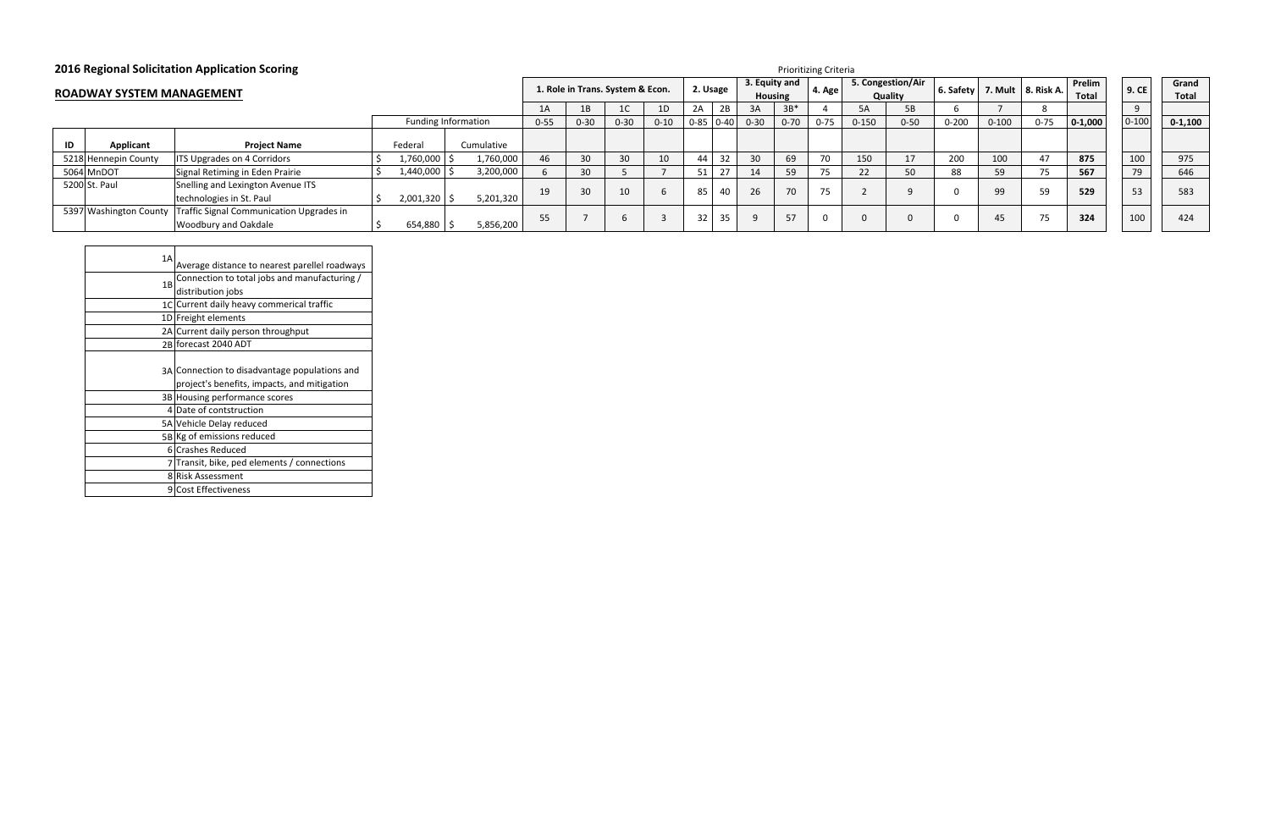## **2016 Regional Solicitation Application Scoring**

| k A. | Prelim<br><b>Total</b> | 9. CE     | Grand<br><b>Total</b> |
|------|------------------------|-----------|-----------------------|
|      |                        | 9         |                       |
| 5    | $0 - 1,000$            | $0 - 100$ | $0 - 1,100$           |
|      |                        |           |                       |
|      | 875                    | 100       | 975                   |
|      | 567                    | 79        | 646                   |
|      | 529                    | 53        | 583                   |
|      | 324                    | 100       | 424                   |

| 1A | Average distance to nearest parellel roadways                                                |
|----|----------------------------------------------------------------------------------------------|
| 1B | Connection to total jobs and manufacturing /                                                 |
|    | distribution jobs                                                                            |
|    | 1C Current daily heavy commerical traffic                                                    |
|    | 1D Freight elements                                                                          |
|    | 2A Current daily person throughput                                                           |
|    | 2B forecast 2040 ADT                                                                         |
|    | 3A Connection to disadvantage populations and<br>project's benefits, impacts, and mitigation |
|    | 3B Housing performance scores                                                                |
|    | 4 Date of contstruction                                                                      |
|    | 5A Vehicle Delay reduced                                                                     |
|    | 5B Kg of emissions reduced                                                                   |
|    | 6 Crashes Reduced                                                                            |
|    | 7 Transit, bike, ped elements / connections                                                  |
|    | 8 Risk Assessment                                                                            |
|    | 9 Cost Effectiveness                                                                         |

Prioritizing Criteria

| . .<br><b>ROADWAY SYSTEM MANAGEMENT</b> |                      |                                                                                                |                |                            | 1. Role in Trans. System & Econ. |                 |          |        |             | 2. Usage |          | 3. Equity and<br>Housing |          | 5. Congestion/Air<br>4. Age<br>Quality |          |           |           | $\vert$ 6. Safety $\vert$ 7. Mult $\vert$ 8. Risk A. | Prelim<br>Total | 9. CE     | Gran<br>Tota |
|-----------------------------------------|----------------------|------------------------------------------------------------------------------------------------|----------------|----------------------------|----------------------------------|-----------------|----------|--------|-------------|----------|----------|--------------------------|----------|----------------------------------------|----------|-----------|-----------|------------------------------------------------------|-----------------|-----------|--------------|
|                                         |                      |                                                                                                |                |                            | 1A                               | 1B              |          | 1D     | 2A          | 2B       | 3A       | $3B*$                    |          | 5A                                     | 5B       |           |           |                                                      |                 |           |              |
|                                         |                      |                                                                                                |                | <b>Funding Information</b> | $0 - 55$                         | $0 - 30$        | $0 - 30$ | $0-10$ | $0-85$ 0-40 |          | $0 - 30$ | $0 - 70$                 | $0 - 75$ | $0 - 150$                              | $0 - 50$ | $0 - 200$ | $0 - 100$ | $0 - 75$                                             | $0-1,000$       | $0 - 100$ | $0 - 1, 10$  |
| ID                                      | Applicant            | <b>Project Name</b>                                                                            | Federal        | Cumulative                 |                                  |                 |          |        |             |          |          |                          |          |                                        |          |           |           |                                                      |                 |           |              |
|                                         | 5218 Hennepin County | <b>ITS Upgrades on 4 Corridors</b>                                                             | 1,760,000      | 1,760,000                  | 46                               | 30              |          | 10     |             |          | 30       | 69                       | 70       | 150                                    | 17       | 200       | 100       |                                                      | 875             | 100       | 975          |
|                                         | 5064 MnDOT           | Signal Retiming in Eden Prairie                                                                | 1,440,000      | 3,200,000                  |                                  | 30 <sup>2</sup> |          |        |             |          |          | 59                       |          | 22                                     | 50       | 88        | 59        |                                                      | 567             | 79        | 646          |
|                                         | 5200 St. Paul        | Snelling and Lexington Avenue ITS<br>technologies in St. Paul                                  | $2,001,320$ \$ | 5,201,320                  | 19                               |                 | 10       |        | 85          | 40       | 26       | 70                       | 75       |                                        |          |           | 99        | 59                                                   | 529             | 53        | 583          |
|                                         |                      | 5397 Washington County Traffic Signal Communication Upgrades in<br><b>Woodbury and Oakdale</b> | 654,880        | 5,856,200                  | 55                               |                 |          |        | -32         | 35       |          | 57                       |          |                                        |          |           | 45        |                                                      | 324             | 100       | 424          |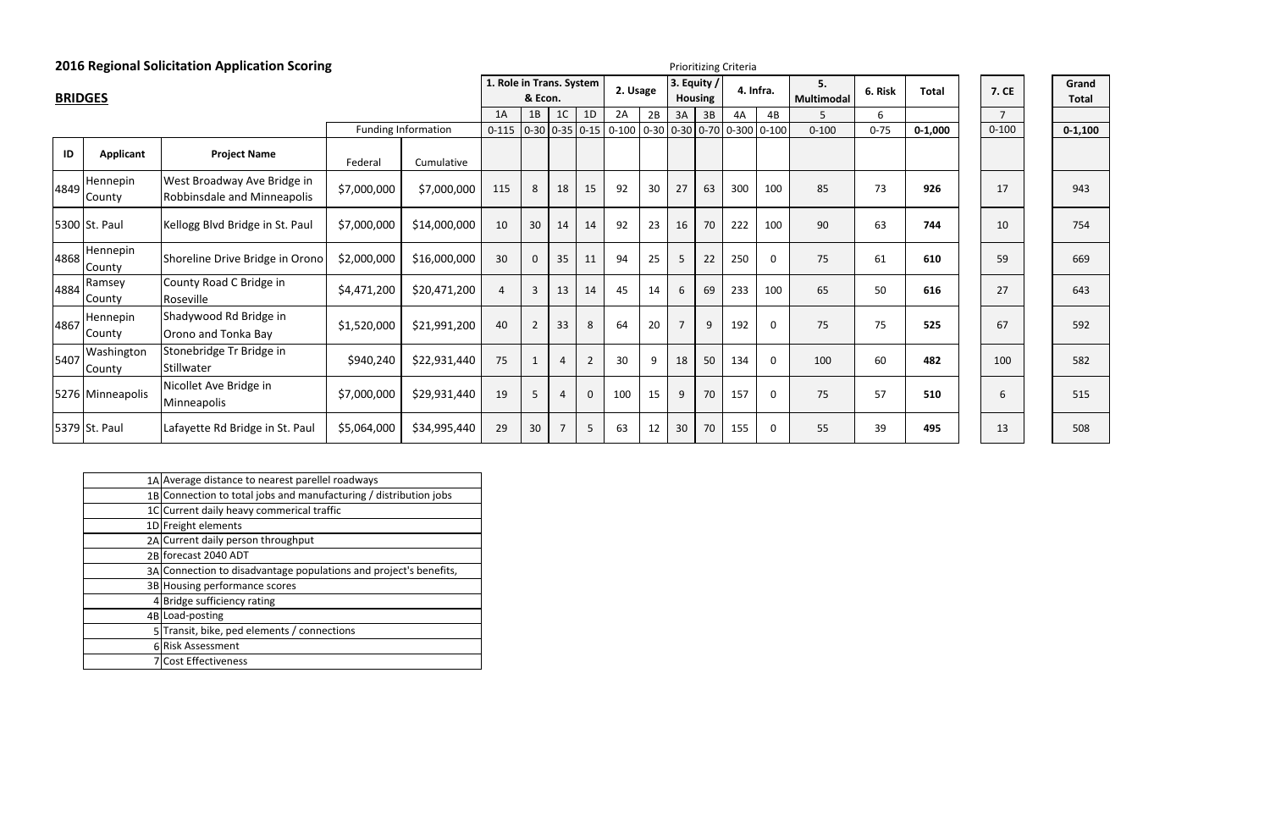|                | <b>2016 Regional Solicitation Application Scoring</b><br>Prioritizing Criteria |                                                            |             |                     |                                     |                |                |             |                                                                                             |    |                |                               |     |             |                  |          |              |                |                       |  |
|----------------|--------------------------------------------------------------------------------|------------------------------------------------------------|-------------|---------------------|-------------------------------------|----------------|----------------|-------------|---------------------------------------------------------------------------------------------|----|----------------|-------------------------------|-----|-------------|------------------|----------|--------------|----------------|-----------------------|--|
| <b>BRIDGES</b> |                                                                                |                                                            |             |                     | 1. Role in Trans. System<br>& Econ. |                |                |             | 2. Usage                                                                                    |    |                | 3. Equity /<br><b>Housing</b> |     | 4. Infra.   | 5.<br>Multimodal | 6. Risk  | <b>Total</b> | <b>7. CE</b>   | Grand<br><b>Total</b> |  |
|                |                                                                                |                                                            |             |                     | 1A                                  | 1B             | 1 <sup>C</sup> | 1D          | 2A                                                                                          | 2B | 3A             | 3B                            | 4A  | 4B          | 5.               | 6        |              | $\overline{7}$ |                       |  |
|                |                                                                                |                                                            |             | Funding Information |                                     |                |                |             | $0-115$   $0-30$   $0-35$   $0-15$   $0-100$   $0-30$   $0-30$   $0-70$   $0-300$   $0-100$ |    |                |                               |     |             | $0 - 100$        | $0 - 75$ | $0 - 1,000$  | $0 - 100$      | $0 - 1,100$           |  |
| ID             | <b>Applicant</b>                                                               | <b>Project Name</b>                                        | Federal     | Cumulative          |                                     |                |                |             |                                                                                             |    |                |                               |     |             |                  |          |              |                |                       |  |
| 4849           | Hennepin<br>County                                                             | West Broadway Ave Bridge in<br>Robbinsdale and Minneapolis | \$7,000,000 | \$7,000,000         | 115                                 | 8              | 18             | 15          | 92                                                                                          | 30 | 27             | 63                            | 300 | 100         | 85               | 73       | 926          | 17             | 943                   |  |
|                | 5300 St. Paul                                                                  | Kellogg Blvd Bridge in St. Paul                            | \$7,000,000 | \$14,000,000        | 10                                  | 30             | 14             | 14          | 92                                                                                          | 23 | 16             | 70                            | 222 | 100         | 90               | 63       | 744          | 10             | 754                   |  |
| 4868           | Hennepin<br>County                                                             | Shoreline Drive Bridge in Orono                            | \$2,000,000 | \$16,000,000        | 30                                  | $\Omega$       | 35             | 11          | 94                                                                                          | 25 | 5              | 22                            | 250 | 0           | 75               | 61       | 610          | 59             | 669                   |  |
| 14884          | Ramsey<br>County                                                               | County Road C Bridge in<br>Roseville                       | \$4,471,200 | \$20,471,200        | $\overline{4}$                      | 3              | 13             | 14          | 45                                                                                          | 14 | 6              | 69                            | 233 | 100         | 65               | 50       | 616          | 27             | 643                   |  |
| 4867           | Hennepin<br>County                                                             | Shadywood Rd Bridge in<br>Orono and Tonka Bay              | \$1,520,000 | \$21,991,200        | 40                                  | $\overline{2}$ | 33             | 8           | 64                                                                                          | 20 | $\overline{7}$ | 9                             | 192 | $\mathbf 0$ | 75               | 75       | 525          | 67             | 592                   |  |
| 5407           | Washington<br>County                                                           | Stonebridge Tr Bridge in<br>Stillwater                     | \$940,240   | \$22,931,440        | 75                                  |                | 4              | 2           | 30                                                                                          | 9  | 18             | 50                            | 134 | 0           | 100              | 60       | 482          | 100            | 582                   |  |
|                | 5276 Minneapolis                                                               | Nicollet Ave Bridge in<br>Minneapolis                      | \$7,000,000 | \$29,931,440        | 19                                  |                | 4              | $\mathbf 0$ | 100                                                                                         | 15 | 9              | 70                            | 157 | $\mathbf 0$ | 75               | 57       | 510          | 6              | 515                   |  |
|                | 5379 St. Paul                                                                  | Lafayette Rd Bridge in St. Paul                            | \$5,064,000 | \$34,995,440        | 29                                  | 30             | 7              | 5           | 63                                                                                          | 12 | 30             | 70                            | 155 | 0           | 55               | 39       | 495          | 13             | 508                   |  |

| 1A Average distance to nearest parellel roadways                  |
|-------------------------------------------------------------------|
| 1B Connection to total jobs and manufacturing / distribution jobs |
| 1C Current daily heavy commerical traffic                         |
| 1D Freight elements                                               |
| 2A Current daily person throughput                                |
| 2B forecast 2040 ADT                                              |
| 3A Connection to disadvantage populations and project's benefits, |
| 3B Housing performance scores                                     |
| 4 Bridge sufficiency rating                                       |
| 4B Load-posting                                                   |
| 5 Transit, bike, ped elements / connections                       |
| 6 Risk Assessment                                                 |
| <b>Cost Effectiveness</b>                                         |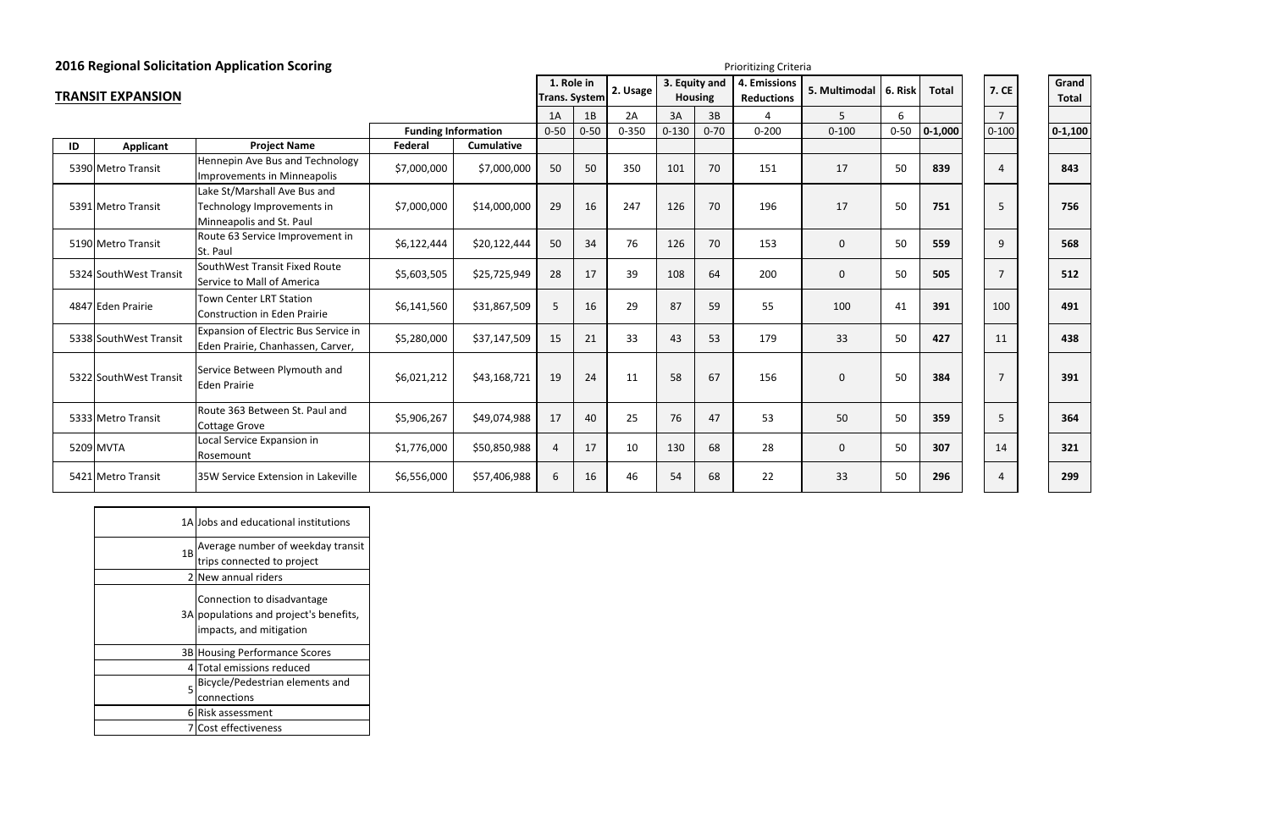| <b>2016 Regional Solicitation Application Scoring</b> |  |  |  |
|-------------------------------------------------------|--|--|--|
|-------------------------------------------------------|--|--|--|

|    |                          | <b>2016 Regional Solicitation Application Scoring</b>                            |                            | Prioritizing Criteria |                                    |          |           |               |                |                                   |               |          |              |                |  |                       |
|----|--------------------------|----------------------------------------------------------------------------------|----------------------------|-----------------------|------------------------------------|----------|-----------|---------------|----------------|-----------------------------------|---------------|----------|--------------|----------------|--|-----------------------|
|    | <b>TRANSIT EXPANSION</b> |                                                                                  |                            |                       | 1. Role in<br><b>Trans. System</b> |          | 2. Usage  | 3. Equity and | <b>Housing</b> | 4. Emissions<br><b>Reductions</b> | 5. Multimodal | 6. Risk  | <b>Total</b> | <b>7. CE</b>   |  | Grand<br><b>Total</b> |
|    |                          |                                                                                  |                            |                       | 1A                                 | 1B       | 2A        | 3A            | 3B             | $\Lambda$                         | 5             | 6        |              | $\overline{7}$ |  |                       |
|    |                          |                                                                                  | <b>Funding Information</b> |                       | $0 - 50$                           | $0 - 50$ | $0 - 350$ | $0 - 130$     | $0 - 70$       | $0 - 200$                         | $0 - 100$     | $0 - 50$ | $0 - 1,000$  | $0 - 100$      |  | $0 - 1,100$           |
| ID | <b>Applicant</b>         | <b>Project Name</b>                                                              | Federal                    | <b>Cumulative</b>     |                                    |          |           |               |                |                                   |               |          |              |                |  |                       |
|    | 5390 Metro Transit       | Hennepin Ave Bus and Technology<br>Improvements in Minneapolis                   | \$7,000,000                | \$7,000,000           | 50                                 | 50       | 350       | 101           | 70             | 151                               | 17            | 50       | 839          | $\overline{4}$ |  | 843                   |
|    |                          | Lake St/Marshall Ave Bus and                                                     |                            |                       |                                    |          |           |               |                |                                   |               |          |              |                |  |                       |
|    | 5391 Metro Transit       | Technology Improvements in<br>Minneapolis and St. Paul                           | \$7,000,000                | \$14,000,000          | 29                                 | 16       | 247       | 126           | 70             | 196                               | 17            | 50       | 751          | 5              |  | 756                   |
|    | 5190 Metro Transit       | Route 63 Service Improvement in<br>St. Paul                                      | \$6,122,444                | \$20,122,444          | 50                                 | 34       | 76        | 126           | 70             | 153                               | $\mathbf 0$   | 50       | 559          | 9              |  | 568                   |
|    | 5324 SouthWest Transit   | SouthWest Transit Fixed Route<br>Service to Mall of America                      | \$5,603,505                | \$25,725,949          | 28                                 | 17       | 39        | 108           | 64             | 200                               | $\mathbf 0$   | 50       | 505          | $\overline{7}$ |  | 512                   |
|    | 4847 Eden Prairie        | <b>Town Center LRT Station</b><br><b>Construction in Eden Prairie</b>            | \$6,141,560                | \$31,867,509          | 5                                  | 16       | 29        | 87            | 59             | 55                                | 100           | 41       | 391          | 100            |  | 491                   |
|    | 5338 SouthWest Transit   | <b>Expansion of Electric Bus Service in</b><br>Eden Prairie, Chanhassen, Carver, | \$5,280,000                | \$37,147,509          | 15                                 | 21       | 33        | 43            | 53             | 179                               | 33            | 50       | 427          | 11             |  | 438                   |
|    | 5322 SouthWest Transit   | Service Between Plymouth and<br><b>Eden Prairie</b>                              | \$6,021,212                | \$43,168,721          | 19                                 | 24       | 11        | 58            | 67             | 156                               | $\mathbf 0$   | 50       | 384          | $\overline{7}$ |  | 391                   |
|    | 5333 Metro Transit       | Route 363 Between St. Paul and<br><b>Cottage Grove</b>                           | \$5,906,267                | \$49,074,988          | 17                                 | 40       | 25        | 76            | 47             | 53                                | 50            | 50       | 359          | 5              |  | 364                   |
|    | 5209 MVTA                | Local Service Expansion in<br>Rosemount                                          | \$1,776,000                | \$50,850,988          | $\overline{4}$                     | 17       | 10        | 130           | 68             | 28                                | $\mathbf 0$   | 50       | 307          | 14             |  | 321                   |
|    | 5421 Metro Transit       | 35W Service Extension in Lakeville                                               | \$6,556,000                | \$57,406,988          | 6                                  | 16       | 46        | 54            | 68             | 22                                | 33            | 50       | 296          | $\overline{4}$ |  | 299                   |

|    | 1A Jobs and educational institutions                                                            |
|----|-------------------------------------------------------------------------------------------------|
| 1B | Average number of weekday transit<br>trips connected to project                                 |
|    | 2 New annual riders                                                                             |
|    | Connection to disadvantage<br>3A populations and project's benefits,<br>impacts, and mitigation |
|    | 3B Housing Performance Scores                                                                   |
|    | 4 Total emissions reduced                                                                       |
| 5  | Bicycle/Pedestrian elements and<br>connections                                                  |
|    | 6 Risk assessment                                                                               |
|    | Cost effectiveness                                                                              |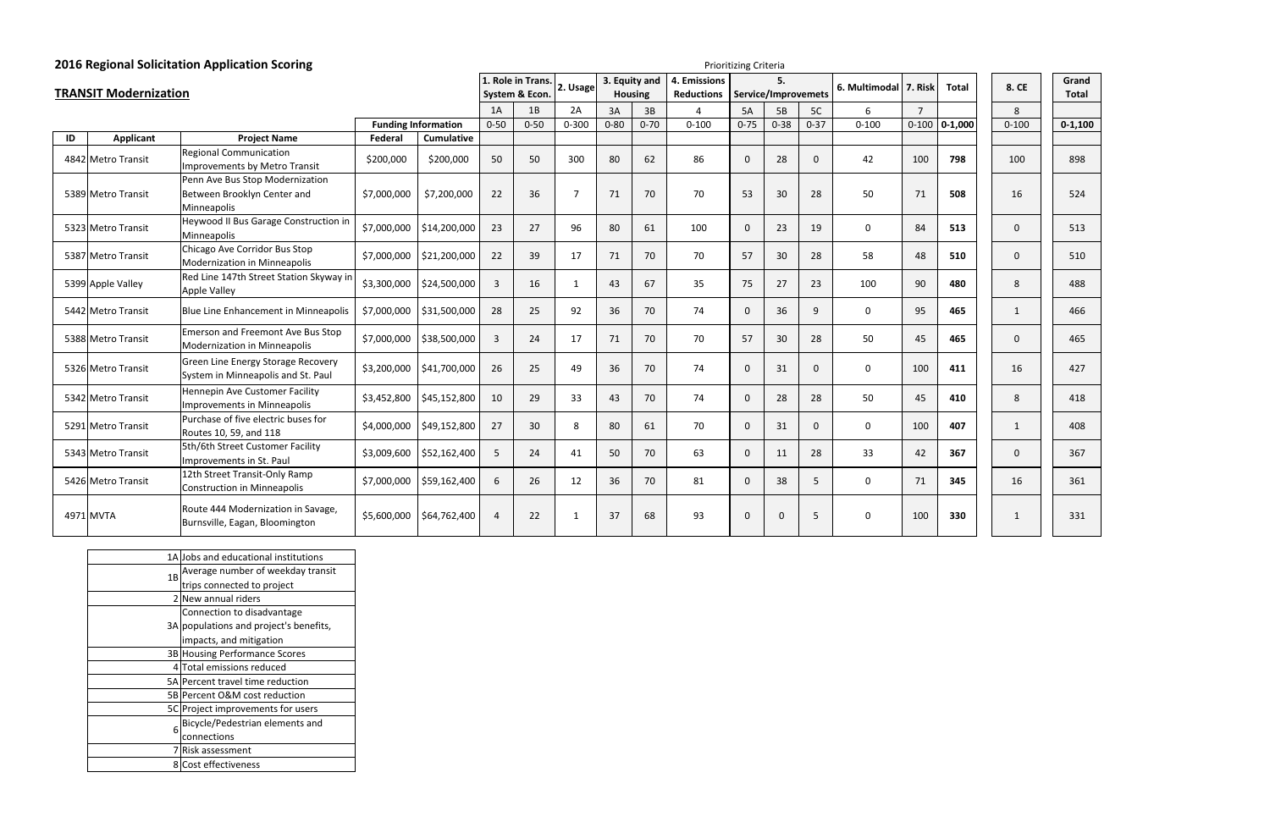| <b>2016 Regional Solicitation Application Scoring</b><br>Prioritizing Criteria |                              |                                                                          |             |                            |                |                  |                |                |               |                   |              |                     |              |               |                |                 |              |              |
|--------------------------------------------------------------------------------|------------------------------|--------------------------------------------------------------------------|-------------|----------------------------|----------------|------------------|----------------|----------------|---------------|-------------------|--------------|---------------------|--------------|---------------|----------------|-----------------|--------------|--------------|
|                                                                                |                              |                                                                          |             |                            |                | 1. Role in Trans | 2. Usage       |                | 3. Equity and | 4. Emissions      |              | 5.                  |              | 6. Multimodal | 7. Risk        | <b>Total</b>    | 8. CE        | Grand        |
|                                                                                | <b>TRANSIT Modernization</b> |                                                                          |             |                            |                | System & Econ.   |                | <b>Housing</b> |               | <b>Reductions</b> |              | Service/Improvemets |              |               |                |                 |              | <b>Total</b> |
|                                                                                |                              |                                                                          |             |                            | 1A             | 1B               | 2A             | 3A             | 3B            | $\Delta$          | <b>5A</b>    | 5B                  | 5C           | 6             | $\overline{7}$ |                 | 8            |              |
|                                                                                |                              |                                                                          |             | <b>Funding Information</b> | $0 - 50$       | $0 - 50$         | $0 - 300$      | $0 - 80$       | $0 - 70$      | $0 - 100$         | $0 - 75$     | $0 - 38$            | $0 - 37$     | $0 - 100$     |                | $0-100$ 0-1,000 | $0 - 100$    | $0 - 1,100$  |
| ID                                                                             | <b>Applicant</b>             | <b>Project Name</b>                                                      | Federal     | <b>Cumulative</b>          |                |                  |                |                |               |                   |              |                     |              |               |                |                 |              |              |
|                                                                                | 4842 Metro Transit           | <b>Regional Communication</b><br>Improvements by Metro Transit           | \$200,000   | \$200,000                  | 50             | 50               | 300            | 80             | 62            | 86                | $\mathbf{0}$ | 28                  | $\mathbf{0}$ | 42            | 100            | 798             | 100          | 898          |
|                                                                                |                              | Penn Ave Bus Stop Modernization                                          |             |                            |                |                  |                |                |               |                   |              |                     |              |               |                |                 |              |              |
|                                                                                | 5389 Metro Transit           | Between Brooklyn Center and                                              | \$7,000,000 | \$7,200,000                | 22             | 36               | $\overline{7}$ | 71             | 70            | 70                | 53           | 30                  | 28           | 50            | 71             | 508             | 16           | 524          |
|                                                                                |                              | Minneapolis                                                              |             |                            |                |                  |                |                |               |                   |              |                     |              |               |                |                 |              |              |
|                                                                                | 5323 Metro Transit           | Heywood II Bus Garage Construction in<br>Minneapolis                     | \$7,000,000 | \$14,200,000               | 23             | 27               | 96             | 80             | 61            | 100               | $\mathbf 0$  | 23                  | 19           | 0             | 84             | 513             | $\mathbf{0}$ | 513          |
|                                                                                | 5387 Metro Transit           | Chicago Ave Corridor Bus Stop<br>Modernization in Minneapolis            | \$7,000,000 | \$21,200,000               | 22             | 39               | 17             | 71             | 70            | 70                | 57           | 30                  | 28           | 58            | 48             | 510             | $\mathbf{0}$ | 510          |
|                                                                                | 5399 Apple Valley            | Red Line 147th Street Station Skyway ir<br><b>Apple Valley</b>           | \$3,300,000 | \$24,500,000               | 3              | 16               | 1              | 43             | 67            | 35                | 75           | 27                  | 23           | 100           | 90             | 480             | 8            | 488          |
|                                                                                | 5442 Metro Transit           | Blue Line Enhancement in Minneapolis                                     | \$7,000,000 | \$31,500,000               | 28             | 25               | 92             | 36             | 70            | 74                | $\mathbf{0}$ | 36                  | 9            | $\mathbf 0$   | 95             | 465             | 1            | 466          |
|                                                                                | 5388 Metro Transit           | <b>Emerson and Freemont Ave Bus Stop</b><br>Modernization in Minneapolis | \$7,000,000 | \$38,500,000               | 3              | 24               | 17             | 71             | 70            | 70                | 57           | 30                  | 28           | 50            | 45             | 465             | $\mathbf{0}$ | 465          |
|                                                                                | 5326 Metro Transit           | Green Line Energy Storage Recovery<br>System in Minneapolis and St. Paul | \$3,200,000 | \$41,700,000               | 26             | 25               | 49             | 36             | 70            | 74                | $\Omega$     | 31                  | $\mathbf{0}$ | 0             | 100            | 411             | 16           | 427          |
|                                                                                | 5342 Metro Transit           | Hennepin Ave Customer Facility<br>Improvements in Minneapolis            | \$3,452,800 | \$45,152,800               | 10             | 29               | 33             | 43             | 70            | 74                | $\mathbf 0$  | 28                  | 28           | 50            | 45             | 410             | 8            | 418          |
|                                                                                | 5291 Metro Transit           | Purchase of five electric buses for<br>Routes 10, 59, and 118            | \$4,000,000 | \$49,152,800               | 27             | 30               | 8              | 80             | 61            | 70                | $\mathbf 0$  | 31                  | $\mathbf{0}$ | $\mathbf 0$   | 100            | 407             | 1            | 408          |
|                                                                                | 5343 Metro Transit           | 5th/6th Street Customer Facility<br>Improvements in St. Paul             | \$3,009,600 | \$52,162,400               | 5              | 24               | 41             | 50             | 70            | 63                | $\mathbf{0}$ | 11                  | 28           | 33            | 42             | 367             | $\Omega$     | 367          |
|                                                                                | 5426 Metro Transit           | 12th Street Transit-Only Ramp<br><b>Construction in Minneapolis</b>      | \$7,000,000 | \$59,162,400               | 6              | 26               | 12             | 36             | 70            | 81                | $\mathbf{0}$ | 38                  | 5            | 0             | 71             | 345             | 16           | 361          |
|                                                                                | 4971 MVTA                    | Route 444 Modernization in Savage,<br>Burnsville, Eagan, Bloomington     |             | $$5,600,000$ \$64,762,400  | $\overline{4}$ | 22               | $\mathbf{1}$   | 37             | 68            | 93                | $\Omega$     | $\Omega$            | 5            | $\mathbf 0$   | 100            | 330             | $\mathbf{1}$ | 331          |

|    | 1A Jobs and educational institutions   |
|----|----------------------------------------|
| 1B | Average number of weekday transit      |
|    | trips connected to project             |
|    | 2 New annual riders                    |
|    | Connection to disadvantage             |
|    | 3A populations and project's benefits, |
|    | impacts, and mitigation                |
|    | 3B Housing Performance Scores          |
|    | 4 Total emissions reduced              |
|    | 5A Percent travel time reduction       |
|    | 5B Percent O&M cost reduction          |
|    | 5C Project improvements for users      |
| 6  | Bicycle/Pedestrian elements and        |
|    | connections                            |
| 7  | Risk assessment                        |
|    | 8 Cost effectiveness                   |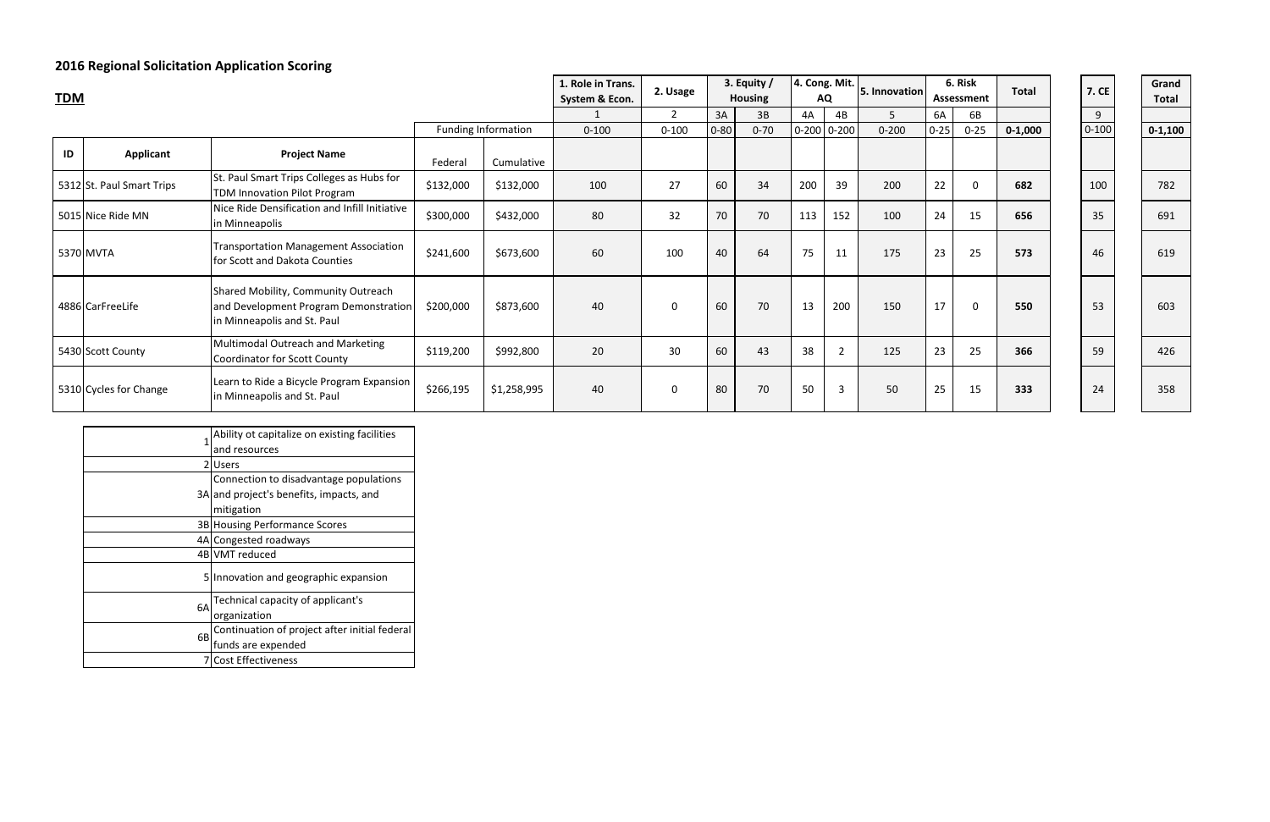## **2016 Regional Solicitation Application Scoring**

| nt             | <b>Total</b> | 7. CE     | Grand<br><b>Total</b> |
|----------------|--------------|-----------|-----------------------|
|                |              | 9         |                       |
| $\overline{5}$ | $0 - 1,000$  | $0 - 100$ | $0 - 1,100$           |
|                |              |           |                       |
|                | 682          | 100       | 782                   |
|                | 656          | 35        | 691                   |
|                | 573          | 46        | 619                   |
|                | 550          | 53        | 603                   |
|                | 366          | 59        | 426                   |
|                | 333          | 24        | 358                   |

| <b>TDM</b> |                           |                                                                                                             |           | 1. Role in Trans.<br>System & Econ. | 2. Usage  |                | 3. Equity /<br><b>Housing</b> |          | $ 4.$ Cong. Mit.<br><b>AQ</b> | 5. Innovation   | 6. Risk<br>Assessment |          | <b>Total</b> | <b>7. CE</b> | Grand<br><b>Total</b> |            |
|------------|---------------------------|-------------------------------------------------------------------------------------------------------------|-----------|-------------------------------------|-----------|----------------|-------------------------------|----------|-------------------------------|-----------------|-----------------------|----------|--------------|--------------|-----------------------|------------|
|            |                           |                                                                                                             |           |                                     |           | $\overline{2}$ | 3A                            | 3B       | 4A                            | 4B              | 5                     | 6A       | 6B           |              | 9                     |            |
|            |                           |                                                                                                             |           | <b>Funding Information</b>          | $0 - 100$ | $0 - 100$      | $0 - 80$                      | $0 - 70$ |                               | $0-200$ $0-200$ | $0 - 200$             | $0 - 25$ | $0 - 25$     | $0 - 1,000$  | $0 - 100$             | $0 - 1,10$ |
| ID         | <b>Applicant</b>          | <b>Project Name</b>                                                                                         | Federal   | Cumulative                          |           |                |                               |          |                               |                 |                       |          |              |              |                       |            |
|            | 5312 St. Paul Smart Trips | St. Paul Smart Trips Colleges as Hubs for<br>TDM Innovation Pilot Program                                   | \$132,000 | \$132,000                           | 100       | 27             | 60                            | 34       | 200                           | 39              | 200                   | 22       | $\mathbf 0$  | 682          | 100                   | 782        |
|            | 5015 Nice Ride MN         | Nice Ride Densification and Infill Initiative<br>in Minneapolis                                             | \$300,000 | \$432,000                           | 80        | 32             | 70                            | 70       | 113                           | 152             | 100                   | 24       | 15           | 656          | 35                    | 691        |
|            | 5370 MVTA                 | <b>Transportation Management Association</b><br>for Scott and Dakota Counties                               | \$241,600 | \$673,600                           | 60        | 100            | 40                            | 64       | 75                            | 11              | 175                   | 23       | 25           | 573          | 46                    | 619        |
|            | 4886 CarFreeLife          | Shared Mobility, Community Outreach<br>and Development Program Demonstration<br>in Minneapolis and St. Paul | \$200,000 | \$873,600                           | 40        | 0              | 60                            | 70       | 13                            | 200             | 150                   | 17       | 0            | 550          | 53                    | 603        |
|            | 5430 Scott County         | Multimodal Outreach and Marketing<br>Coordinator for Scott County                                           | \$119,200 | \$992,800                           | 20        | 30             | 60                            | 43       | 38                            | $\overline{2}$  | 125                   | 23       | 25           | 366          | 59                    | 426        |
|            | 5310 Cycles for Change    | Learn to Ride a Bicycle Program Expansion<br>in Minneapolis and St. Paul                                    | \$266,195 | \$1,258,995                         | 40        | $\mathbf 0$    | 80                            | 70       | 50                            | $\overline{3}$  | 50                    | 25       | 15           | 333          | 24                    | 358        |

| 1   | Ability ot capitalize on existing facilities  |
|-----|-----------------------------------------------|
|     | and resources                                 |
| ا 2 | <b>Users</b>                                  |
|     | Connection to disadvantage populations        |
|     | 3A and project's benefits, impacts, and       |
|     | mitigation                                    |
|     | 3B Housing Performance Scores                 |
|     | 4A Congested roadways                         |
|     | 4B VMT reduced                                |
| 51  | Innovation and geographic expansion           |
| 6A  | Technical capacity of applicant's             |
|     | organization                                  |
|     | Continuation of project after initial federal |
| 6B  | funds are expended                            |
|     | <b>Cost Effectiveness</b>                     |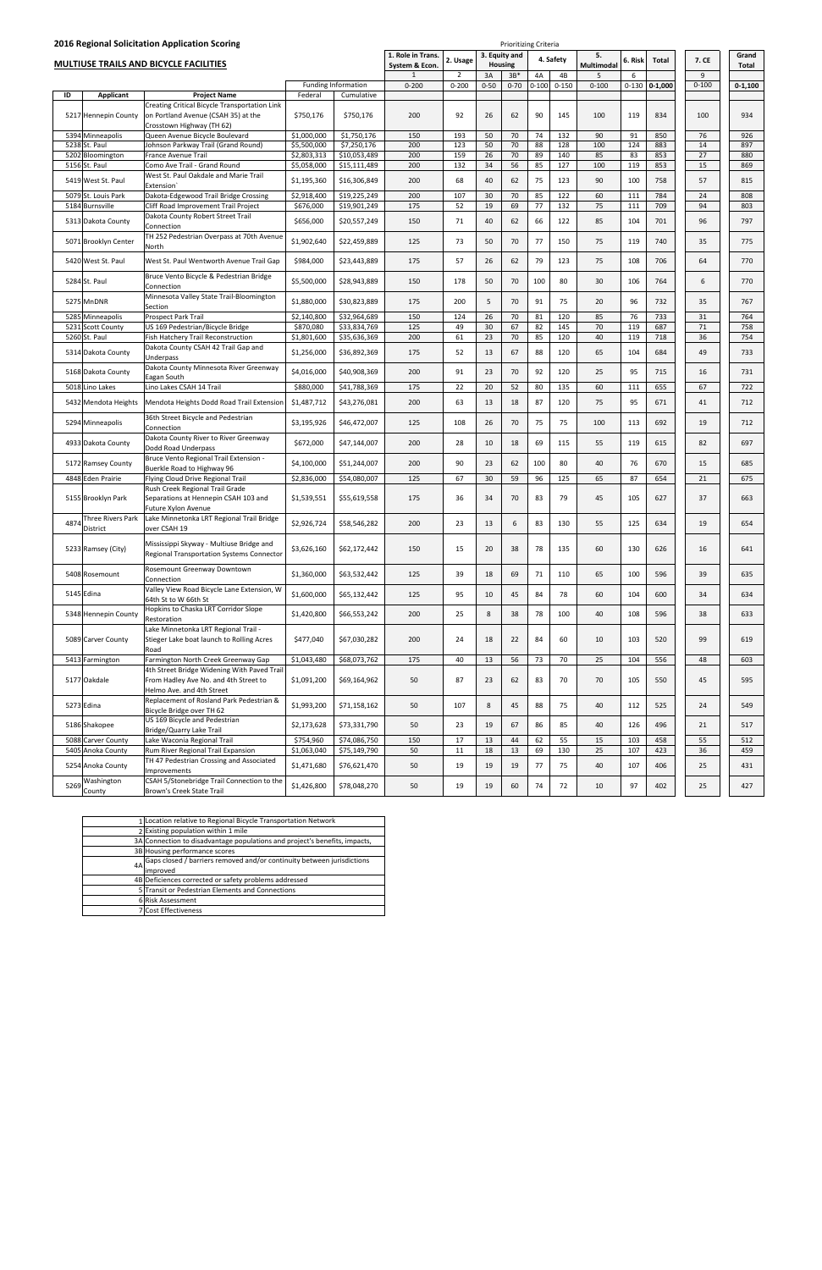|      |                                         | 2016 Regional Solicitation Application Scoring                                                                                           |                          |                              | 1. Role in Trans. |                |          | 3. Equity and | <b>Prioritizing Criteria</b> |           | 5.         |            |             |           | Grand       |
|------|-----------------------------------------|------------------------------------------------------------------------------------------------------------------------------------------|--------------------------|------------------------------|-------------------|----------------|----------|---------------|------------------------------|-----------|------------|------------|-------------|-----------|-------------|
|      |                                         | <b>MULTIUSE TRAILS AND BICYCLE FACILITIES</b>                                                                                            |                          |                              | System & Econ.    | 2. Usage       |          | Housing       |                              | 4. Safety | Multimodal | 6. Risk    | Total       | 7. CE     | Total       |
|      |                                         |                                                                                                                                          |                          |                              |                   | $\overline{2}$ | 3A       | $3B*$         | 4A                           | 4B        | 5          | 6          |             | 9         |             |
|      |                                         |                                                                                                                                          |                          | <b>Funding Information</b>   | $0 - 200$         | $0 - 200$      | $0 - 50$ | $0 - 70$      | $0 - 100$                    | $0 - 150$ | $0 - 100$  | $0 - 130$  | $0 - 1,000$ | $0 - 100$ | $0 - 1,100$ |
| ID   | Applicant<br>5217 Hennepin County       | <b>Project Name</b><br>Creating Critical Bicycle Transportation Link<br>on Portland Avenue (CSAH 35) at the<br>Crosstown Highway (TH 62) | Federal<br>\$750,176     | Cumulative<br>\$750,176      | 200               | 92             | 26       | 62            | 90                           | 145       | 100        | 119        | 834         | 100       | 934         |
|      | 5394 Minneapolis                        | Queen Avenue Bicycle Boulevard                                                                                                           | \$1,000,000              | \$1,750,176                  | 150               | 193            | 50       | 70            | 74                           | 132       | 90         | 91         | 850         | 76        | 926         |
|      | 5238 St. Paul                           | Johnson Parkway Trail (Grand Round)                                                                                                      | \$5,500,000              | \$7,250,176                  | 200               | 123            | 50       | 70            | 88                           | 128       | 100        | 124        | 883         | 14        | 897         |
|      | 5202 Bloomington                        | France Avenue Trail                                                                                                                      | \$2,803,313              | \$10,053,489                 | 200               | 159            | 26       | 70            | 89                           | 140       | 85         | 83         | 853         | 27        | 880         |
|      | 5156 St. Paul                           | Como Ave Trail - Grand Round                                                                                                             | \$5,058,000              | \$15,111,489                 | 200               | 132            | 34       | 56            | 85                           | 127       | 100        | 119        | 853         | 15        | 869         |
|      | 5419 West St. Paul                      | West St. Paul Oakdale and Marie Trail<br>Extension                                                                                       | \$1,195,360              | \$16,306,849                 | 200               | 68             | 40       | 62            | 75                           | 123       | 90         | 100        | 758         | 57        | 815         |
|      | 5079 St. Louis Park                     | Dakota-Edgewood Trail Bridge Crossing                                                                                                    | \$2,918,400              | \$19,225,249                 | 200               | 107<br>52      | 30<br>19 | 70<br>69      | 85                           | 122       | 60<br>75   | 111        | 784         | 24<br>94  | 808         |
|      | 5184 Burnsville                         | Cliff Road Improvement Trail Project<br>Dakota County Robert Street Trail                                                                | \$676,000                | \$19,901,249                 | 175               |                |          |               | 77                           | 132       |            | 111        | 709         |           | 803         |
|      | 5313 Dakota County                      | Connection<br>TH 252 Pedestrian Overpass at 70th Avenue                                                                                  | \$656,000                | \$20,557,249                 | 150               | 71             | 40       | 62            | 66                           | 122       | 85         | 104        | 701         | 96        | 797         |
|      | 5071 Brooklyn Center                    | North                                                                                                                                    | \$1,902,640              | \$22,459,889                 | 125               | 73             | 50       | 70            | 77                           | 150       | 75         | 119        | 740         | 35        | 775         |
|      | 5420 West St. Paul                      | West St. Paul Wentworth Avenue Trail Gap                                                                                                 | \$984,000                | \$23,443,889                 | 175               | 57             | 26       | 62            | 79                           | 123       | 75         | 108        | 706         | 64        | 770         |
|      | 5284 St. Paul                           | Bruce Vento Bicycle & Pedestrian Bridge<br>Connection                                                                                    | \$5,500,000              | \$28,943,889                 | 150               | 178            | 50       | 70            | 100                          | 80        | 30         | 106        | 764         | 6         | 770         |
|      | 5275 MnDNR                              | Minnesota Valley State Trail-Bloomington<br>Section                                                                                      | \$1,880,000              | \$30,823,889                 | 175               | 200            | 5        | 70            | 91                           | 75        | 20         | 96         | 732         | 35        | 767         |
|      | 5285 Minneapolis                        | Prospect Park Trail                                                                                                                      | \$2,140,800              | \$32,964,689                 | 150               | 124            | 26       | 70            | 81                           | 120       | 85         | 76         | 733         | 31        | 764         |
|      | 5231 Scott County                       | US 169 Pedestrian/Bicycle Bridge                                                                                                         | \$870,080                | \$33,834,769                 | 125               | 49             | 30       | 67            | 82                           | 145       | 70         | 119        | 687         | 71        | 758         |
|      | 5260 St. Paul                           | Fish Hatchery Trail Reconstruction<br>Dakota County CSAH 42 Trail Gap and                                                                | \$1,801,600              | \$35,636,369                 | 200               | 61             | 23       | 70            | 85                           | 120       | 40         | 119        | 718         | 36        | 754         |
|      | 5314 Dakota County                      | Underpass                                                                                                                                | \$1,256,000              | \$36,892,369                 | 175               | 52             | 13       | 67            | 88                           | 120       | 65         | 104        | 684         | 49        | 733         |
|      | 5168 Dakota County                      | Dakota County Minnesota River Greenway<br>Eagan South                                                                                    | \$4,016,000              | \$40,908,369                 | 200               | 91             | 23       | 70            | 92                           | 120       | 25         | 95         | 715         | 16        | 731         |
|      | 5018 Lino Lakes                         | Lino Lakes CSAH 14 Trail                                                                                                                 | \$880,000                | \$41,788,369                 | 175               | 22             | 20       | 52            | 80                           | 135       | 60         | 111        | 655         | 67        | 722         |
|      | 5432 Mendota Heights                    | Mendota Heights Dodd Road Trail Extension                                                                                                | \$1,487,712              | \$43,276,081                 | 200               | 63             | 13       | 18            | 87                           | 120       | 75         | 95         | 671         | 41        | 712         |
|      | 5294 Minneapolis                        | 36th Street Bicycle and Pedestrian<br>Connection                                                                                         | \$3,195,926              | \$46,472,007                 | 125               | 108            | 26       | 70            | 75                           | 75        | 100        | 113        | 692         | 19        | 712         |
|      | 4933 Dakota County                      | Dakota County River to River Greenway<br>Dodd Road Underpass                                                                             | \$672,000                | \$47,144,007                 | 200               | 28             | 10       | 18            | 69                           | 115       | 55         | 119        | 615         | 82        | 697         |
|      | 5172 Ramsey County                      | Bruce Vento Regional Trail Extension -<br>Buerkle Road to Highway 96                                                                     | \$4,100,000              | \$51,244,007                 | 200               | 90             | 23       | 62            | 100                          | 80        | 40         | 76         | 670         | 15        | 685         |
|      | 4848 Eden Prairie                       | Flying Cloud Drive Regional Trail                                                                                                        | \$2,836,000              | \$54,080,007                 | 125               | 67             | 30       | 59            | 96                           | 125       | 65         | 87         | 654         | 21        | 675         |
|      | 5155 Brooklyn Park                      | Rush Creek Regional Trail Grade<br>Separations at Hennepin CSAH 103 and<br>Future Xylon Avenue                                           | \$1,539,551              | \$55,619,558                 | 175               | 36             | 34       | 70            | 83                           | 79        | 45         | 105        | 627         | 37        | 663         |
| 4874 | Three Rivers Park<br>District           | Lake Minnetonka LRT Regional Trail Bridge<br>over CSAH 19                                                                                | \$2,926,724              | \$58,546,282                 | 200               | 23             | 13       | 6             | 83                           | 130       | 55         | 125        | 634         | 19        | 654         |
|      | 5233 Ramsey (City)                      | Mississippi Skyway - Multiuse Bridge and<br><b>Regional Transportation Systems Connector</b>                                             | \$3,626,160              | \$62,172,442                 | 150               | 15             | 20       | 38            | 78                           | 135       | 60         | 130        | 626         | 16        | 641         |
|      | 5408 Rosemount                          | Rosemount Greenway Downtown<br>Connection                                                                                                | \$1,360,000              | \$63,532,442                 | 125               | 39             | 18       | 69            | 71                           | 110       | 65         | 100        | 596         | 39        | 635         |
|      | 5145 Edina                              | Valley View Road Bicycle Lane Extension, W<br>64th St to W 66th St                                                                       | \$1,600,000              | \$65,132,442                 | 125               | 95             | 10       | 45            | 84                           | 78        | 60         | 104        | 600         | 34        | 634         |
|      | 5348 Hennepin County                    | Hopkins to Chaska LRT Corridor Slope<br>Restoration                                                                                      | \$1,420,800              | \$66,553,242                 | 200               | 25             | 8        | 38            | 78                           | 100       | 40         | 108        | 596         | 38        | 633         |
|      | 5089 Carver County                      | Lake Minnetonka LRT Regional Trail -<br>Stieger Lake boat launch to Rolling Acres<br>Road                                                | \$477,040                | \$67,030,282                 | 200               | 24             | 18       | 22            | 84                           | 60        | 10         | 103        | 520         | 99        | 619         |
|      | 5413 Farmington                         | Farmington North Creek Greenway Gap                                                                                                      | \$1,043,480              | \$68,073,762                 | 175               | 40             | 13       | 56            | 73                           | 70        | 25         | 104        | 556         | 48        | 603         |
|      | 5177 Oakdale                            | 4th Street Bridge Widening With Paved Trail<br>From Hadley Ave No. and 4th Street to<br>Helmo Ave. and 4th Street                        | \$1,091,200              | \$69,164,962                 | 50                | 87             | 23       | 62            | 83                           | 70        | 70         | 105        | 550         | 45        | 595         |
|      | 5273 Edina                              | Replacement of Rosland Park Pedestrian &<br>Bicycle Bridge over TH 62                                                                    | \$1,993,200              | \$71,158,162                 | 50                | 107            | 8        | 45            | 88                           | 75        | 40         | 112        | 525         | 24        | 549         |
|      | 5186 Shakopee                           | US 169 Bicycle and Pedestrian<br>Bridge/Quarry Lake Trail                                                                                | \$2,173,628              | \$73,331,790                 | 50                | 23             | 19       | 67            | 86                           | 85        | 40         | 126        | 496         | 21        | 517         |
|      | 5088 Carver County<br>5405 Anoka County | Lake Waconia Regional Trail<br>Rum River Regional Trail Expansion                                                                        | \$754,960<br>\$1,063,040 | \$74,086,750<br>\$75,149,790 | 150<br>50         | 17<br>11       | 13<br>18 | 44<br>13      | 62<br>69                     | 55<br>130 | 15<br>25   | 103<br>107 | 458<br>423  | 55<br>36  | 512<br>459  |
|      | 5254 Anoka County                       | TH 47 Pedestrian Crossing and Associated                                                                                                 | \$1,471,680              | \$76,621,470                 | 50                | 19             | 19       | 19            | 77                           | 75        | 40         | 107        | 406         | 25        | 431         |
|      | Washington                              | Improvements<br>CSAH 5/Stonebridge Trail Connection to the                                                                               |                          |                              |                   |                |          |               |                              |           |            |            |             |           |             |
| 5269 | County                                  | Brown's Creek State Trail                                                                                                                | \$1,426,800              | \$78,048,270                 | 50                | 19             | 19       | 60            | 74                           | 72        | 10         | 97         | 402         | 25        | 427         |

County

CSAH 5/Stonebridge Trail Connection to the \$1,426,800 \$78,048,270 50 19 19 60 74 72 10 97 402 25 427

|    | 1 Location relative to Regional Bicycle Transportation Network             |
|----|----------------------------------------------------------------------------|
|    | 2 Existing population within 1 mile                                        |
|    | 3A Connection to disadvantage populations and project's benefits, impacts, |
|    | 3B Housing performance scores                                              |
| 4A | Gaps closed / barriers removed and/or continuity between jurisdictions     |
|    | improved                                                                   |
|    | 4B Deficiences corrected or safety problems addressed                      |
|    | 5 Transit or Pedestrian Elements and Connections                           |
|    | 6 Risk Assessment                                                          |
|    | 7 Cost Effectiveness                                                       |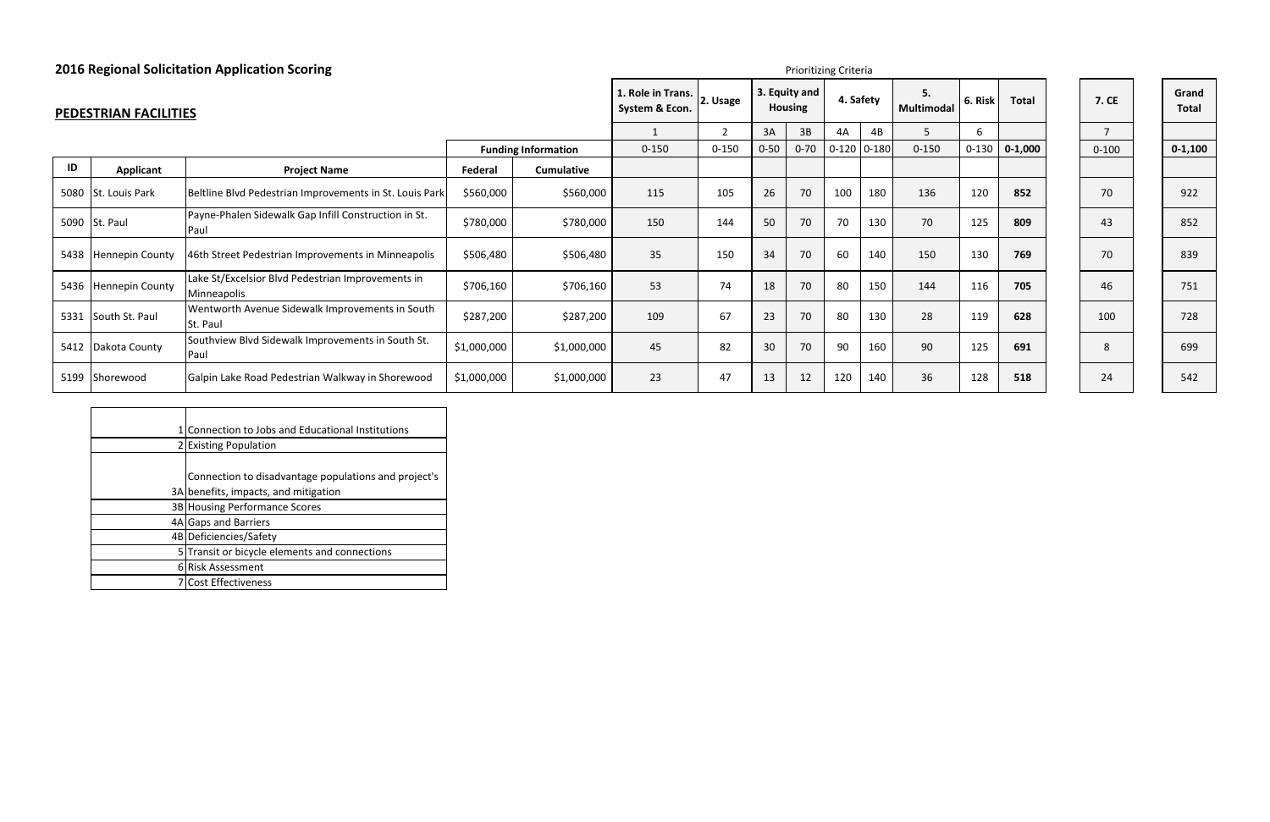| E | Grand<br><b>Total</b> |
|---|-----------------------|
|   |                       |
| 0 | $0 - 1,100$           |
|   |                       |
|   | 922                   |
|   | 852                   |
|   | 839                   |
|   | 751                   |
|   | 728                   |
|   | 699                   |
|   | 542                   |

|      |                              | <b>2016 Regional Solicitation Application Scoring</b>            |             |                            |                                     |           | Prioritizing Criteria |                                 |                 |           |                         |           |              |                |                       |
|------|------------------------------|------------------------------------------------------------------|-------------|----------------------------|-------------------------------------|-----------|-----------------------|---------------------------------|-----------------|-----------|-------------------------|-----------|--------------|----------------|-----------------------|
|      | <b>PEDESTRIAN FACILITIES</b> |                                                                  |             |                            | 1. Role in Trans.<br>System & Econ. | 2. Usage  |                       | 3. Equity and<br><b>Housing</b> |                 | 4. Safety | 5.<br><b>Multimodal</b> | 6. Risk   | <b>Total</b> | <b>7. CE</b>   | Grand<br><b>Total</b> |
|      |                              |                                                                  |             |                            |                                     |           | 3A                    | 3B                              | 4A              | 4B        |                         | 6         |              | $\overline{7}$ |                       |
|      |                              |                                                                  |             | <b>Funding Information</b> | $0 - 150$                           | $0 - 150$ | $0 - 50$              | $0 - 70$                        | $0-120$ $0-180$ |           | $0 - 150$               | $0 - 130$ | $0 - 1,000$  | $0 - 100$      | $0 - 1, 10$           |
| ID   | Applicant                    | <b>Project Name</b>                                              | Federal     | <b>Cumulative</b>          |                                     |           |                       |                                 |                 |           |                         |           |              |                |                       |
|      | 5080 St. Louis Park          | Beltline Blvd Pedestrian Improvements in St. Louis Park          | \$560,000   | \$560,000                  | 115                                 | 105       | 26                    | 70                              | 100             | 180       | 136                     | 120       | 852          | 70             | 922                   |
|      | 5090 St. Paul                | Payne-Phalen Sidewalk Gap Infill Construction in St.<br>Paul     | \$780,000   | \$780,000                  | 150                                 | 144       | 50                    | 70                              | 70              | 130       | 70                      | 125       | 809          | 43             | 852                   |
|      | 5438 Hennepin County         | 46th Street Pedestrian Improvements in Minneapolis               | \$506,480   | \$506,480                  | 35                                  | 150       | 34                    | 70                              | 60              | 140       | 150                     | 130       | 769          | 70             | 839                   |
|      | 5436 Hennepin County         | Lake St/Excelsior Blvd Pedestrian Improvements in<br>Minneapolis | \$706,160   | \$706,160                  | 53                                  | 74        | 18                    | 70                              | 80              | 150       | 144                     | 116       | 705          | 46             | 751                   |
| 5331 | South St. Paul               | Wentworth Avenue Sidewalk Improvements in South<br>St. Paul      | \$287,200   | \$287,200                  | 109                                 | 67        | 23                    | 70                              | 80              | 130       | 28                      | 119       | 628          | 100            | 728                   |
|      | 5412 Dakota County           | Southview Blvd Sidewalk Improvements in South St.<br>Paul        | \$1,000,000 | \$1,000,000                | 45                                  | 82        | 30                    | 70                              | 90              | 160       | 90                      | 125       | 691          | 8              | 699                   |
|      | 5199 Shorewood               | Galpin Lake Road Pedestrian Walkway in Shorewood                 | \$1,000,000 | \$1,000,000                | 23                                  | 47        | 13                    | 12                              | 120             | 140       | 36                      | 128       | 518          | 24             | 542                   |

| Connection to Jobs and Educational Institutions      |
|------------------------------------------------------|
| 2 Existing Population                                |
|                                                      |
| Connection to disadvantage populations and project's |
| 3A benefits, impacts, and mitigation                 |
| 3B Housing Performance Scores                        |
| 4A Gaps and Barriers                                 |
| 4B Deficiencies/Safety                               |
| 5 Transit or bicycle elements and connections        |
| 6 Risk Assessment                                    |
| <b>Cost Effectiveness</b>                            |

| <b>7. CE</b>   |
|----------------|
| $\overline{7}$ |
| $0 - 100$      |
|                |
| 70             |
| 43             |
| 70             |
| 46             |
| 100            |
| 8              |
| 24             |